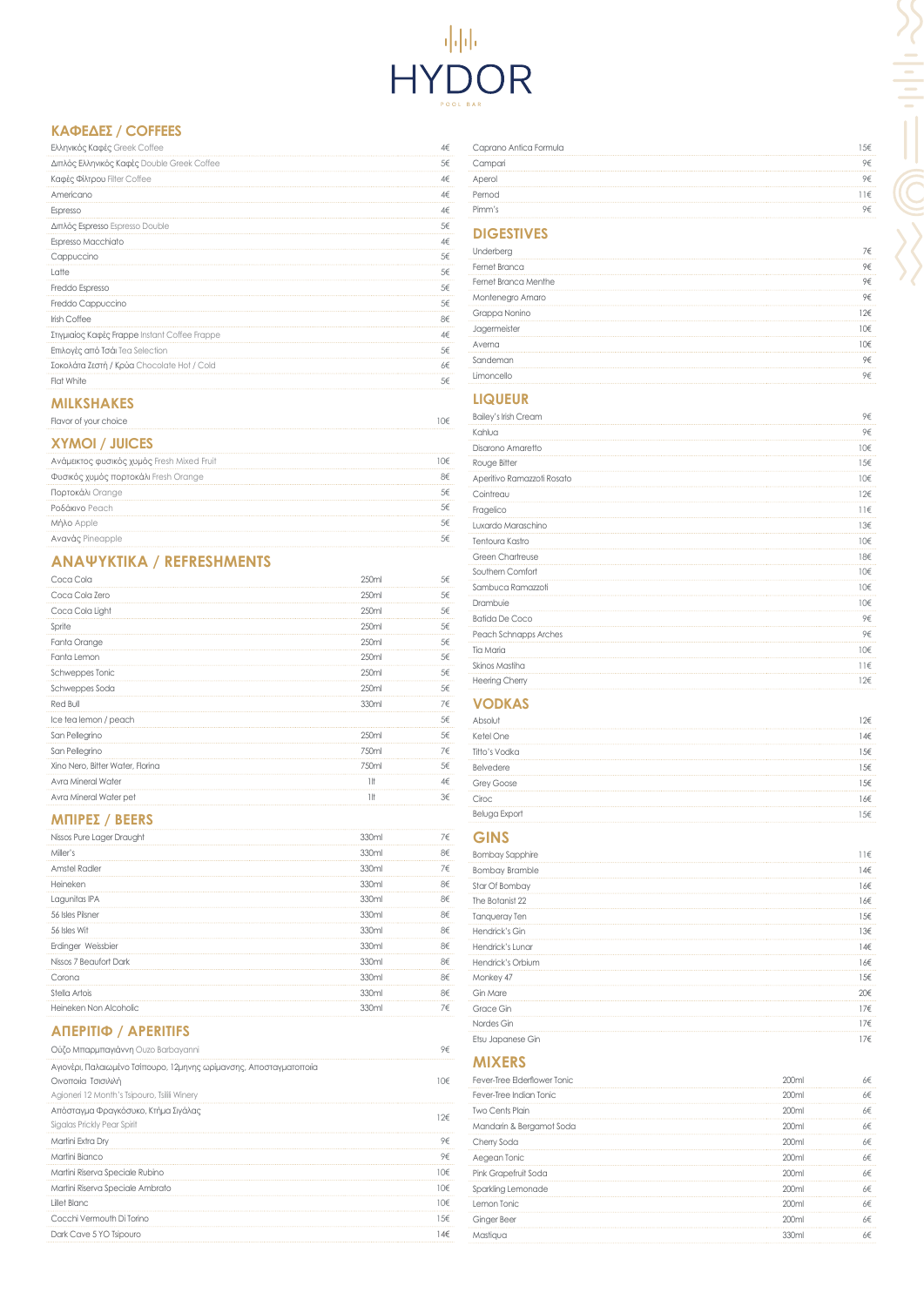# POOL BAR

## **ΚΑΦΈΔ ΕΣ / COFFEES**

| Ελληνικός Καφές Greek Coffee                  | Δ€ |
|-----------------------------------------------|----|
| Διπλός Ελληνικός Καφές Double Greek Coffee    | 5€ |
| Καφές Φίλτρου Filter Coffee                   | 4€ |
| Americano                                     | 4€ |
| Espresso                                      | Δ€ |
| Διπλός Espresso Espresso Double               | 5€ |
| Espresso Macchiato                            | 4€ |
| Cappuccino                                    | 5€ |
| Latte                                         | 5€ |
| Freddo Espresso                               | 5€ |
| Freddo Cappuccino                             | 5€ |
| <b>Irish Coffee</b>                           | 8€ |
| Στιγμιαίος Καφές Frappe Instant Coffee Frappe | 4€ |
| Επιλογές από Τσάι Tea Selection               | 5€ |
| Σοκολάτα Ζεστή / Κρύα Chocolate Hot / Cold    | 6€ |
| Flat White                                    | 5€ |
|                                               |    |

#### **MILKSHAKES**

| Flavor of your choice |  |
|-----------------------|--|
|                       |  |

# **ΧΥΜΟΊ / JUICES**

| Ανάμεικτος φυσικός χυμός Fresh Mixed Fruit | 0€ |
|--------------------------------------------|----|
| Φυσικός χυμός πορτοκάλι Fresh Orange       | Χ€ |
| Πορτοκάλι Orange                           |    |
| Ροδάκινο Peach                             |    |
| Μήλο Apple                                 |    |
| Avavac Pineapple                           |    |

# **ΑΝΑΨΥΚΤ Ι Κ Ά / REFRESHMENTS**

| Coca Cola                        | 250ml             | 5€ |
|----------------------------------|-------------------|----|
| Coca Cola Zero                   | 250ml             | 5€ |
| Coca Cola Light                  | 250ml             | 5€ |
| Sprite                           | 250 <sub>ml</sub> | 5€ |
| Fanta Orange                     | 250ml             | 5€ |
| Fanta Lemon                      | 250ml             | 5€ |
| Schweppes Tonic                  | 250ml             | 5€ |
| Schweppes Soda                   | 250ml             | 5€ |
| Red Bull                         | 330ml             | 7€ |
| Ice tea lemon / peach            |                   | 5€ |
| San Pellegrino                   | 250ml             | 5€ |
| San Pellegrino                   | 750ml             | 7€ |
| Xino Nero, Bitter Water, Florina | 750ml             | 5€ |
| Avra Mineral Water               | 1!f               | 4€ |
| Avra Mineral Water pet           | 1 It              | 3€ |
|                                  |                   |    |

### **ΜΠΊΡ ΕΣ / BEERS**

| Nissos Pure Lager Draught                                                                 | 330ml | 7€              |
|-------------------------------------------------------------------------------------------|-------|-----------------|
| Miller's                                                                                  | 330ml | 8€              |
| <b>Amstel Radler</b>                                                                      | 330ml | 7€              |
| Heineken                                                                                  | 330ml | 8€              |
| Lagunitas IPA                                                                             | 330ml | 8€              |
| 56 Isles Pilsner                                                                          | 330ml | 8€              |
| 56 Isles Wit                                                                              | 330ml | 8€              |
| Erdinger Weissbier                                                                        | 330ml | 8€              |
| Nissos 7 Beaufort Dark                                                                    | 330ml | 8€              |
| Corona                                                                                    | 330ml | 8€              |
| Stella Artois                                                                             | 330ml | 8€              |
| Heineken Non Alcoholic                                                                    | 330ml | 7€              |
| <b>ΑΠΕΡΙΤΙΦ / APERITIFS</b>                                                               |       |                 |
| Ούζο Μπαρμπαγιάννη Ouzo Barbayanni                                                        |       | 9€              |
| Αγιονέρι, Παλαιωμένο Τσίπουρο, 12μηνης ωρίμανσης, Αποσταγματοποιία<br>Οινοποιία Τσισιλιλή |       | 10 <sup>€</sup> |
| Agioneri 12 Month's Tsipouro, Tsilili Winery<br>Απόσταγμα Φραγκόσυκο, Κτήμα Σιγάλας       |       |                 |
| Sigalas Prickly Pear Spirit                                                               |       | 12€             |
| Martini Extra Dry                                                                         |       | 9€              |
| Martini Bianco                                                                            |       | 9€              |
| Martini Riserva Speciale Rubino                                                           |       | 10€             |
| Martini Riserva Speciale Ambrato                                                          |       | 10 <sup>€</sup> |
| Lillet Blanc                                                                              |       | 10 <sup>€</sup> |
| Cocchi Vermouth Di Torino                                                                 |       | 15<             |

| Caprano Antica Formula |  |
|------------------------|--|
| Campari                |  |
| Aperol                 |  |
| Pernod                 |  |
| Pimm's                 |  |

# **DIGESTIVES**

| Underberg            | 7€ |
|----------------------|----|
| Fernet Branca        | 9€ |
| Fernet Branca Menthe | 9€ |
| Montenegro Amaro     | 9€ |
| Grappa Nonino        | 7€ |
| Jagermeister         | ∩€ |
| Averna               | ∩€ |
| Sandeman             | 9€ |
| Limoncello           | ₹  |

# **LIQUEUR**

| <b>Bailey's Irish Cream</b> | 9€                             |
|-----------------------------|--------------------------------|
| Kahlua                      | 9€                             |
| Disarono Amaretto           | 10 <sup>€</sup>                |
| Rouge Bitter                | 15 <epsilon< td=""></epsilon<> |
| Aperitivo Ramazzoti Rosato  | 10 <sup>€</sup>                |
| Cointreau                   | $12\epsilon$                   |
| Fragelico                   | $11\varepsilon$                |
| Luxardo Maraschino          | $13\epsilon$                   |
| Tentoura Kastro             | 10 <sup>€</sup>                |
| <b>Green Chartreuse</b>     | 18€                            |
| Southern Comfort            | 10 <sup>€</sup>                |
| Sambuca Ramazzoti           | 10 <sup>€</sup>                |
| Drambuie                    | 10€                            |
| <b>Batida De Coco</b>       | 9€                             |
| Peach Schnapps Arches       | 9€                             |
| Tia Maria                   | 10 <sup>€</sup>                |
| Skinos Mastiha              | $11 \in$                       |
| <b>Heering Cherry</b>       | 12€                            |

# **VODKAS**

| Absc              | 2€  |
|-------------------|-----|
| Ketel One         | .4€ |
| Titto's Vodka     | 5€  |
| Belvedere         | 5€  |
| <b>Grey Goose</b> | 5€  |
| Ciroc             | 6€  |
| Beluga Export     | 5€  |

## **GINS**

| <b>Bombay Sapphire</b> | 11€ |
|------------------------|-----|
| <b>Bombay Bramble</b>  | 14€ |
| Star Of Bombay         | 16€ |
| The Botanist 22        | 16€ |
| Tanqueray Ten          | 15€ |
| Hendrick's Gin         | 13€ |
| Hendrick's Lunar       | 14€ |
| Hendrick's Orbium      | 16€ |
| Monkey 47              | 15€ |
| Gin Mare               | 20€ |
| Grace Gin              | 17€ |
| Nordes Gin             | 17€ |
| Etsu Japanese Gin      | 17€ |

#### **MIXERS**

| Fever-Tree Elderflower Tonic |                   | 5€ |
|------------------------------|-------------------|----|
| Fever-Tree Indian Tonic      | 200ml             | 6€ |
| <b>Two Cents Plain</b>       | 200ml             | 6€ |
| Mandarin & Bergamot Soda     | 200ml             | 6€ |
| Cherry Soda                  | 200 <sub>ml</sub> | 6€ |
| Aegean Tonic                 | )( )ml            | 6€ |
| Pink Grapefruit Soda         | 200ml             | 6€ |
| Sparkling Lemonade           | 200ml             | 6€ |
| Lemon Tonic                  | ว∩∩ml             | ∕⊦ |
| Ginger Beer                  | 200ml             | Κ€ |
| Mastiaua                     | 33Nml             |    |
|                              |                   |    |